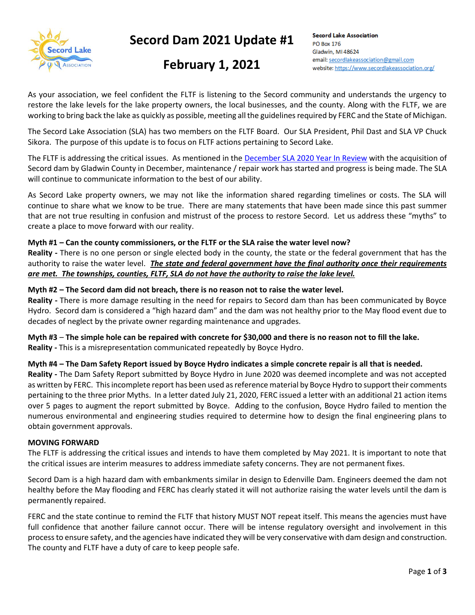

# **Secord Dam 2021 Update #1**

# **February 1, 2021**

**Secord Lake Association PO Box 176** Gladwin, MI 48624 email: secordlakeassociation@gmail.com website: https://www.secordlakeassociation.org/

As your association, we feel confident the FLTF is listening to the Secord community and understands the urgency to restore the lake levels for the lake property owners, the local businesses, and the county. Along with the FLTF, we are working to bring back the lake as quickly as possible, meeting all the guidelines required by FERC and the State of Michigan.

The Secord Lake Association (SLA) has two members on the FLTF Board. Our SLA President, Phil Dast and SLA VP Chuck Sikora. The purpose of this update is to focus on FLTF actions pertaining to Secord Lake.

The FLTF is addressing the critical issues. As mentioned in the [December SLA 2020 Year In Review](https://bf8c71b5-cc5c-461e-9075-870c26c74fdb.filesusr.com/ugd/cd86dd_56b865dbafe548319602fcef55b38791.pdf) with the acquisition of Secord dam by Gladwin County in December, maintenance / repair work has started and progress is being made. The SLA will continue to communicate information to the best of our ability.

As Secord Lake property owners, we may not like the information shared regarding timelines or costs. The SLA will continue to share what we know to be true. There are many statements that have been made since this past summer that are not true resulting in confusion and mistrust of the process to restore Secord. Let us address these "myths" to create a place to move forward with our reality.

#### **Myth #1 – Can the county commissioners, or the FLTF or the SLA raise the water level now?**

**Reality -** There is no one person or single elected body in the county, the state or the federal government that has the authority to raise the water level.*The state and federal government have the final authority once their requirements are met. The townships, counties, FLTF, SLA do not have the authority to raise the lake level.*

#### **Myth #2 – The Secord dam did not breach, there is no reason not to raise the water level.**

**Reality -** There is more damage resulting in the need for repairs to Secord dam than has been communicated by Boyce Hydro. Secord dam is considered a "high hazard dam" and the dam was not healthy prior to the May flood event due to decades of neglect by the private owner regarding maintenance and upgrades.

**Myth #3** – **The simple hole can be repaired with concrete for \$30,000 and there is no reason not to fill the lake. Reality -** This is a misrepresentation communicated repeatedly by Boyce Hydro.

#### **Myth #4 – The Dam Safety Report issued by Boyce Hydro indicates a simple concrete repair is all that is needed.**

**Reality -** The Dam Safety Report submitted by Boyce Hydro in June 2020 was deemed incomplete and was not accepted as written by FERC. This incomplete report has been used as reference material by Boyce Hydro to support their comments pertaining to the three prior Myths. In a letter dated July 21, 2020, FERC issued a letter with an additional 21 action items over 5 pages to augment the report submitted by Boyce. Adding to the confusion, Boyce Hydro failed to mention the numerous environmental and engineering studies required to determine how to design the final engineering plans to obtain government approvals.

#### **MOVING FORWARD**

The FLTF is addressing the critical issues and intends to have them completed by May 2021. It is important to note that the critical issues are interim measures to address immediate safety concerns. They are not permanent fixes.

Secord Dam is a high hazard dam with embankments similar in design to Edenville Dam. Engineers deemed the dam not healthy before the May flooding and FERC has clearly stated it will not authorize raising the water levels until the dam is permanently repaired.

FERC and the state continue to remind the FLTF that history MUST NOT repeat itself. This means the agencies must have full confidence that another failure cannot occur. There will be intense regulatory oversight and involvement in this process to ensure safety, and the agencies have indicated they will be very conservative with dam design and construction. The county and FLTF have a duty of care to keep people safe.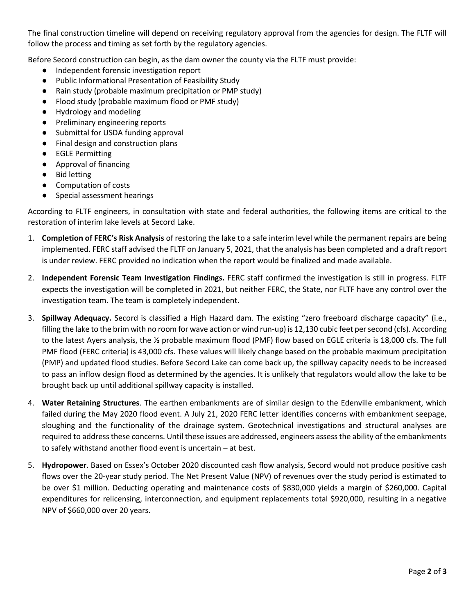The final construction timeline will depend on receiving regulatory approval from the agencies for design. The FLTF will follow the process and timing as set forth by the regulatory agencies.

Before Secord construction can begin, as the dam owner the county via the FLTF must provide:

- Independent forensic investigation report
- Public Informational Presentation of Feasibility Study
- Rain study (probable maximum precipitation or PMP study)
- Flood study (probable maximum flood or PMF study)
- Hydrology and modeling
- Preliminary engineering reports
- Submittal for USDA funding approval
- Final design and construction plans
- EGLE Permitting
- Approval of financing
- Bid letting
- Computation of costs
- Special assessment hearings

According to FLTF engineers, in consultation with state and federal authorities, the following items are critical to the restoration of interim lake levels at Secord Lake.

- 1. **Completion of FERC's Risk Analysis** of restoring the lake to a safe interim level while the permanent repairs are being implemented. FERC staff advised the FLTF on January 5, 2021, that the analysis has been completed and a draft report is under review. FERC provided no indication when the report would be finalized and made available.
- 2. **Independent Forensic Team Investigation Findings.** FERC staff confirmed the investigation is still in progress. FLTF expects the investigation will be completed in 2021, but neither FERC, the State, nor FLTF have any control over the investigation team. The team is completely independent.
- 3. **Spillway Adequacy.** Secord is classified a High Hazard dam. The existing "zero freeboard discharge capacity" (i.e., filling the lake to the brim with no room for wave action or wind run-up) is 12,130 cubic feet per second (cfs). According to the latest Ayers analysis, the ½ probable maximum flood (PMF) flow based on EGLE criteria is 18,000 cfs. The full PMF flood (FERC criteria) is 43,000 cfs. These values will likely change based on the probable maximum precipitation (PMP) and updated flood studies. Before Secord Lake can come back up, the spillway capacity needs to be increased to pass an inflow design flood as determined by the agencies. It is unlikely that regulators would allow the lake to be brought back up until additional spillway capacity is installed.
- 4. **Water Retaining Structures**. The earthen embankments are of similar design to the Edenville embankment, which failed during the May 2020 flood event. A July 21, 2020 FERC letter identifies concerns with embankment seepage, sloughing and the functionality of the drainage system. Geotechnical investigations and structural analyses are required to address these concerns. Until these issues are addressed, engineers assess the ability of the embankments to safely withstand another flood event is uncertain – at best.
- 5. **Hydropower**. Based on Essex's October 2020 discounted cash flow analysis, Secord would not produce positive cash flows over the 20-year study period. The Net Present Value (NPV) of revenues over the study period is estimated to be over \$1 million. Deducting operating and maintenance costs of \$830,000 yields a margin of \$260,000. Capital expenditures for relicensing, interconnection, and equipment replacements total \$920,000, resulting in a negative NPV of \$660,000 over 20 years.